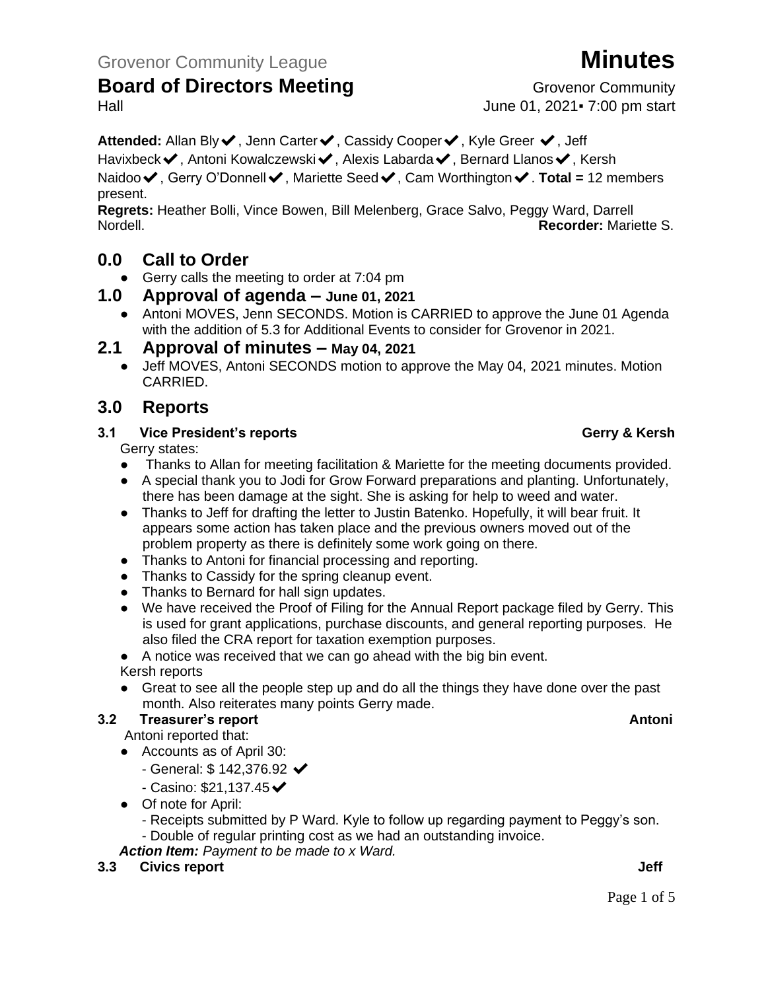**Attended:** Allan Bly✔, Jenn Carter✔, Cassidy Cooper✔, Kyle Greer ✔, Jeff Havixbeck✔, Antoni Kowalczewski✔, Alexis Labarda✔, Bernard Llanos✔, Kersh Naidoo✔, Gerry O'Donnell✔, Mariette Seed✔, Cam Worthington✔. **Total =** 12 members present.

**Regrets:** Heather Bolli, Vince Bowen, Bill Melenberg, Grace Salvo, Peggy Ward, Darrell Nordell. **Recorder:** Mariette S.

## **0.0 Call to Order**

● Gerry calls the meeting to order at 7:04 pm

### **1.0 Approval of agenda – June 01, 2021**

● Antoni MOVES, Jenn SECONDS. Motion is CARRIED to approve the June 01 Agenda with the addition of 5.3 for Additional Events to consider for Grovenor in 2021.

### **2.1 Approval of minutes – May 04, 2021**

● Jeff MOVES, Antoni SECONDS motion to approve the May 04, 2021 minutes. Motion CARRIED.

## **3.0 Reports**

#### **3.1 Vice President's reports Gerry & Kersh**

#### Gerry states:

- Thanks to Allan for meeting facilitation & Mariette for the meeting documents provided.
- A special thank you to Jodi for Grow Forward preparations and planting. Unfortunately, there has been damage at the sight. She is asking for help to weed and water.
- Thanks to Jeff for drafting the letter to Justin Batenko. Hopefully, it will bear fruit. It appears some action has taken place and the previous owners moved out of the problem property as there is definitely some work going on there.
- Thanks to Antoni for financial processing and reporting.
- Thanks to Cassidy for the spring cleanup event.
- Thanks to Bernard for hall sign updates.
- We have received the Proof of Filing for the Annual Report package filed by Gerry. This is used for grant applications, purchase discounts, and general reporting purposes. He also filed the CRA report for taxation exemption purposes.

#### ● A notice was received that we can go ahead with the big bin event. Kersh reports

● Great to see all the people step up and do all the things they have done over the past month. Also reiterates many points Gerry made.

## **3.2 Freasurer's report Antonic Structure Antonic Structure Antonic Antonic Antonic Antonic Antonic Antonic Antoni**

- Antoni reported that:
- Accounts as of April 30:
	- $-$  General: \$ 142,376.92  $\checkmark$
	- $-$  Casino: \$21,137.45 $\blacktriangleright$
- Of note for April:
	- Receipts submitted by P Ward. Kyle to follow up regarding payment to Peggy's son.
	- Double of regular printing cost as we had an outstanding invoice.

*Action Item: Payment to be made to x Ward.*

#### **3.3 Civics report Jeff**

Page 1 of 5

Hall June 01, 2021▪ 7:00 pm start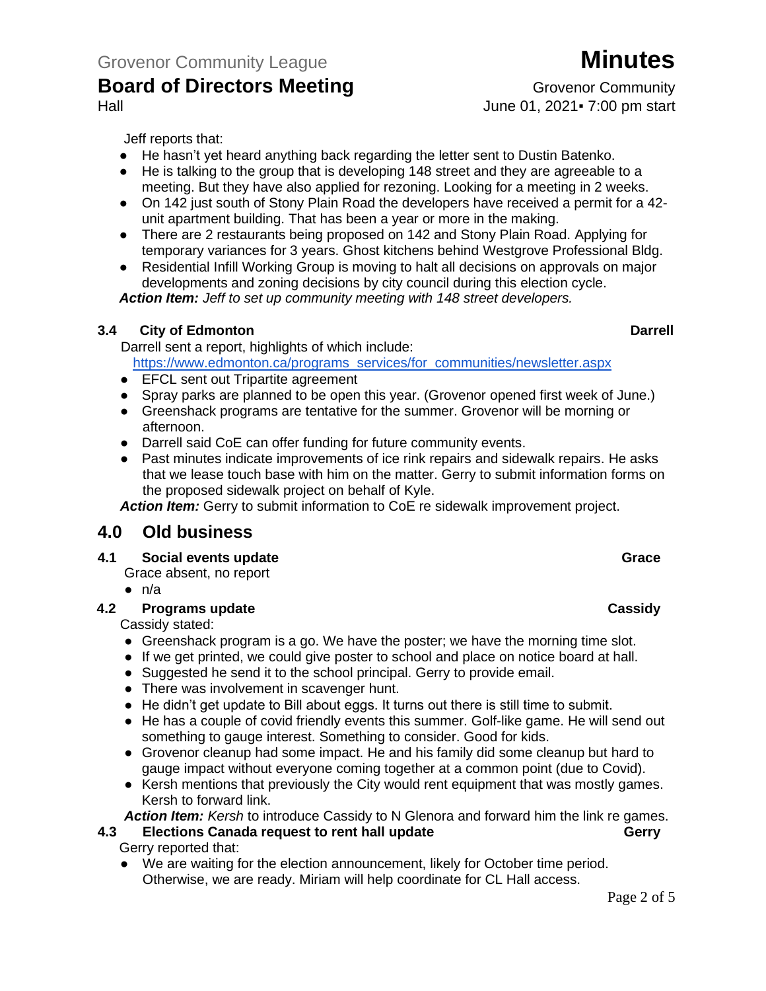# Hall June 01, 2021▪ 7:00 pm start

Jeff reports that:

- He hasn't yet heard anything back regarding the letter sent to Dustin Batenko.
- He is talking to the group that is developing 148 street and they are agreeable to a meeting. But they have also applied for rezoning. Looking for a meeting in 2 weeks.
- On 142 just south of Stony Plain Road the developers have received a permit for a 42unit apartment building. That has been a year or more in the making.
- There are 2 restaurants being proposed on 142 and Stony Plain Road. Applying for temporary variances for 3 years. Ghost kitchens behind Westgrove Professional Bldg.
- Residential Infill Working Group is moving to halt all decisions on approvals on major developments and zoning decisions by city council during this election cycle. *Action Item: Jeff to set up community meeting with 148 street developers.*

### **3.4 City of Edmonton Darrell**

 Darrell sent a report, highlights of which include: [https://www.edmonton.ca/programs\\_services/for\\_communities/newsletter.aspx](https://www.edmonton.ca/programs_services/for_communities/newsletter.aspx)

- EFCL sent out Tripartite agreement
- Spray parks are planned to be open this year. (Grovenor opened first week of June.)
- Greenshack programs are tentative for the summer. Grovenor will be morning or afternoon.
- Darrell said CoE can offer funding for future community events.
- Past minutes indicate improvements of ice rink repairs and sidewalk repairs. He asks that we lease touch base with him on the matter. Gerry to submit information forms on the proposed sidewalk project on behalf of Kyle.

*Action Item:* Gerry to submit information to CoE re sidewalk improvement project.

## **4.0 Old business**

#### **4.1 Social events update Grace**

- Grace absent, no report
- $\bullet$  n/a

#### **4.2 Programs update Cassidy**

Cassidy stated:

- Greenshack program is a go. We have the poster; we have the morning time slot.
- If we get printed, we could give poster to school and place on notice board at hall.
- Suggested he send it to the school principal. Gerry to provide email.
- There was involvement in scavenger hunt.
- He didn't get update to Bill about eggs. It turns out there is still time to submit.
- He has a couple of covid friendly events this summer. Golf-like game. He will send out something to gauge interest. Something to consider. Good for kids.
- Grovenor cleanup had some impact. He and his family did some cleanup but hard to gauge impact without everyone coming together at a common point (due to Covid).
- Kersh mentions that previously the City would rent equipment that was mostly games. Kersh to forward link.

*Action Item: Kersh* to introduce Cassidy to N Glenora and forward him the link re games.

#### **4.3 Elections Canada request to rent hall update Geart Constructions Gerry**

Gerry reported that:

● We are waiting for the election announcement, likely for October time period. Otherwise, we are ready. Miriam will help coordinate for CL Hall access.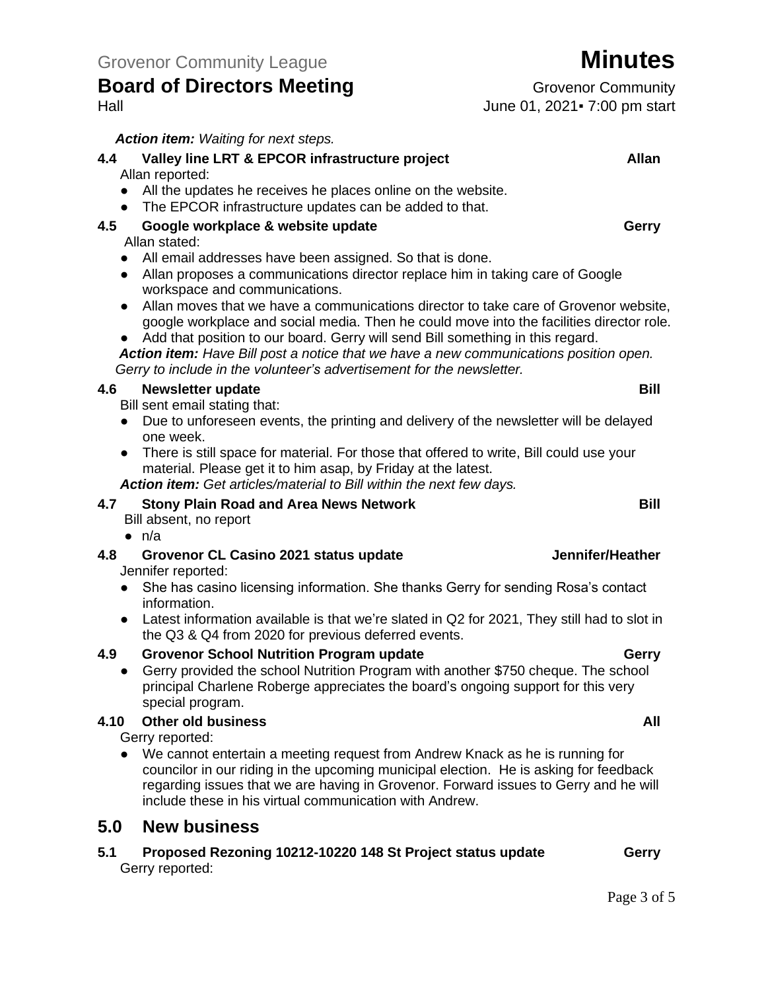*Action item: Waiting for next steps.*

#### **4.4 Valley line LRT & EPCOR infrastructure project Allan** Allan reported: ● All the updates he receives he places online on the website. ● The EPCOR infrastructure updates can be added to that. **4.5 Google workplace & website update Gerry**

#### Allan stated:

- All email addresses have been assigned. So that is done.
- Allan proposes a communications director replace him in taking care of Google workspace and communications.
- Allan moves that we have a communications director to take care of Grovenor website, google workplace and social media. Then he could move into the facilities director role.
- Add that position to our board. Gerry will send Bill something in this regard.

*Action item: Have Bill post a notice that we have a new communications position open. Gerry to include in the volunteer's advertisement for the newsletter.*

#### **4.6 Newsletter update Bill**

- Bill sent email stating that:
- Due to unforeseen events, the printing and delivery of the newsletter will be delayed one week.
- There is still space for material. For those that offered to write, Bill could use your material. Please get it to him asap, by Friday at the latest.

*Action item: Get articles/material to Bill within the next few days.* 

#### **4.7 Stony Plain Road and Area News Network Bill**

Bill absent, no report

 $\bullet$  n/a

#### **4.8 Grovenor CL Casino 2021 status update Jennifer/Heather** Jennifer reported:

- She has casino licensing information. She thanks Gerry for sending Rosa's contact information.
- Latest information available is that we're slated in Q2 for 2021, They still had to slot in the Q3 & Q4 from 2020 for previous deferred events.

#### **4.9 Grovenor School Nutrition Program update Gerry**

● Gerry provided the school Nutrition Program with another \$750 cheque. The school principal Charlene Roberge appreciates the board's ongoing support for this very special program.

#### **4.10 Other old business All**

Gerry reported:

● We cannot entertain a meeting request from Andrew Knack as he is running for councilor in our riding in the upcoming municipal election. He is asking for feedback regarding issues that we are having in Grovenor. Forward issues to Gerry and he will include these in his virtual communication with Andrew.

### **5.0 New business**

**5.1 Proposed Rezoning 10212-10220 148 St Project status update Gerry** Gerry reported:

Hall June 01, 2021▪ 7:00 pm start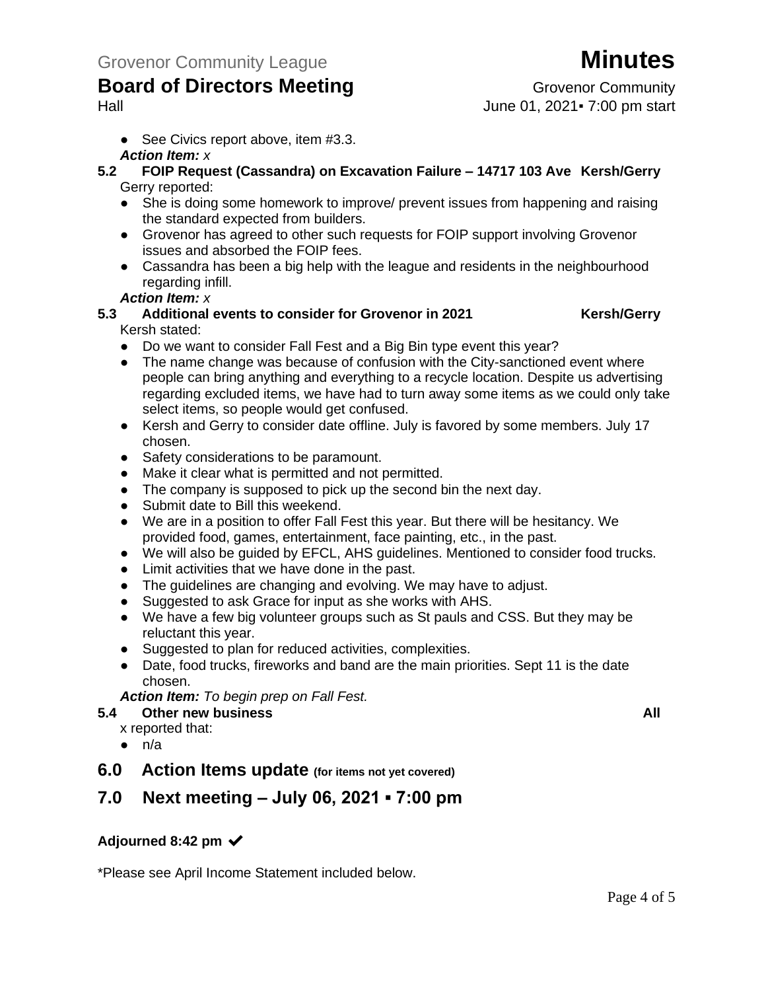Hall June 01, 2021▪ 7:00 pm start

● See Civics report above, item #3.3.

### *Action Item: x*

- **5.2 FOIP Request (Cassandra) on Excavation Failure – 14717 103 Ave Kersh/Gerry** Gerry reported:
	- She is doing some homework to improve/ prevent issues from happening and raising the standard expected from builders.
	- Grovenor has agreed to other such requests for FOIP support involving Grovenor issues and absorbed the FOIP fees.
	- Cassandra has been a big help with the league and residents in the neighbourhood regarding infill.

#### *Action Item: x*

#### **5.3 Additional events to consider for Grovenor in 2021 Kersh/Gerry** Kersh stated:

- Do we want to consider Fall Fest and a Big Bin type event this year?
- The name change was because of confusion with the City-sanctioned event where people can bring anything and everything to a recycle location. Despite us advertising regarding excluded items, we have had to turn away some items as we could only take select items, so people would get confused.
- Kersh and Gerry to consider date offline. July is favored by some members. July 17 chosen.
- Safety considerations to be paramount.
- Make it clear what is permitted and not permitted.
- The company is supposed to pick up the second bin the next day.
- Submit date to Bill this weekend.
- We are in a position to offer Fall Fest this year. But there will be hesitancy. We provided food, games, entertainment, face painting, etc., in the past.
- We will also be guided by EFCL, AHS guidelines. Mentioned to consider food trucks.
- Limit activities that we have done in the past.
- The guidelines are changing and evolving. We may have to adjust.
- Suggested to ask Grace for input as she works with AHS.
- We have a few big volunteer groups such as St pauls and CSS. But they may be reluctant this year.
- Suggested to plan for reduced activities, complexities.
- Date, food trucks, fireworks and band are the main priorities. Sept 11 is the date chosen.

*Action Item: To begin prep on Fall Fest.*

#### **5.4 Other new business All**

- x reported that:
- $\bullet$  n/a
- **6.0 Action Items update (for items not yet covered)**

## **7.0 Next meeting – July 06, 2021 ▪ 7:00 pm**

### **Adjourned 8:42 pm** ✔

\*Please see April Income Statement included below.